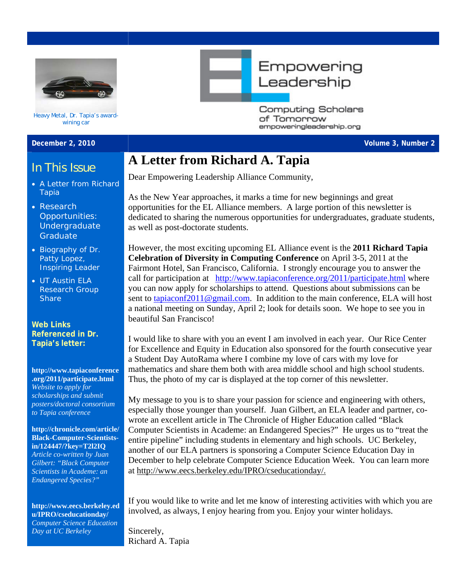

Heavy Metal, Dr. Tapia's awardwining car

- 
- **Research** Opportunities: Undergraduate **Graduate**
- **Biography of Dr.** Patty Lopez, Inspiring Leader
- **UT Austin ELA** Research Group **Share**

**Web Links Referenced in Dr.** 

**[http://www.tapiaconference](http://www.tapiaconference.org/2011/participate.html) [.org/2011/participate.html](http://www.tapiaconference.org/2011/participate.html)** *Website to apply for scholarships and submit posters/doctoral consortium to Tapia conference* 

**[http://chronicle.com/article/](http://chronicle.com/article/Black-Computer-Scientists-in/124447/?key=T2l2IQ) [Black-Computer-Scientists](http://chronicle.com/article/Black-Computer-Scientists-in/124447/?key=T2l2IQ)[in/124447/?key=T2l2IQ](http://chronicle.com/article/Black-Computer-Scientists-in/124447/?key=T2l2IQ)** *Article co-written by Juan Gilbert: "Black Computer Scientists in Academe: an Endangered Species?"* 

**[u/IPRO/cseducationday/](http://www.eecs.berkeley.edu/IPRO/cseducationday/)** *Computer Science Education Day at UC Berkeley* 

Empowering Leadership

> **Computing Scholars** of Tomorrow empoweringleadership.org

# **A Letter from Richard A. Tapia**

A Letter from Richard Dear Empowering Leadership Alliance Community,

Tapia As the New Year approaches, it marks a time for new beginnings and great opportunities for the EL Alliance members. A large portion of this newsletter is dedicated to sharing the numerous opportunities for undergraduates, graduate students, as well as post-doctorate students.

> However, the most exciting upcoming EL Alliance event is the **2011 Richard Tapia Celebration of Diversity in Computing Conference** on April 3-5, 2011 at the Fairmont Hotel, San Francisco, California. I strongly encourage you to answer the call for participation at <http://www.tapiaconference.org/2011/participate.html> where you can now apply for scholarships to attend. Questions about submissions can be sent to tapiaconf2011@gmail.com. In addition to the main conference, ELA will host a national meeting on Sunday, April 2; look for details soon. We hope to see you in beautiful San Francisco!

**Tapia's letter:** I would like to share with you an event I am involved in each year. Our Rice Center for Excellence and Equity in Education also sponsored for the fourth consecutive year a Student Day AutoRama where I combine my love of cars with my love for mathematics and share them both with area middle school and high school students. Thus, the photo of my car is displayed at the top corner of this newsletter.

> My message to you is to share your passion for science and engineering with others, especially those younger than yourself. Juan Gilbert, an ELA leader and partner, cowrote an excellent article in The Chronicle of Higher Education called "Black Computer Scientists in Academe: an Endangered Species?" He urges us to "treat the entire pipeline" including students in elementary and high schools. UC Berkeley, another of our ELA partners is sponsoring a Computer Science Education Day in December to help celebrate Computer Science Education Week. You can learn more at http://www.eecs.berkeley.edu/IPRO/cseducationday/.

If you would like to write and let me know of interesting activities with which you are [http://www.eecs.berkeley.ed](http://www.eecs.berkeley.edu/IPRO/cseducationday/)<br>http://www.eecs.berkeley.ed<br>involved, as always, I enjoy hearing from you. Enjoy your winter holidays.

> Sincerely, Richard A. Tapia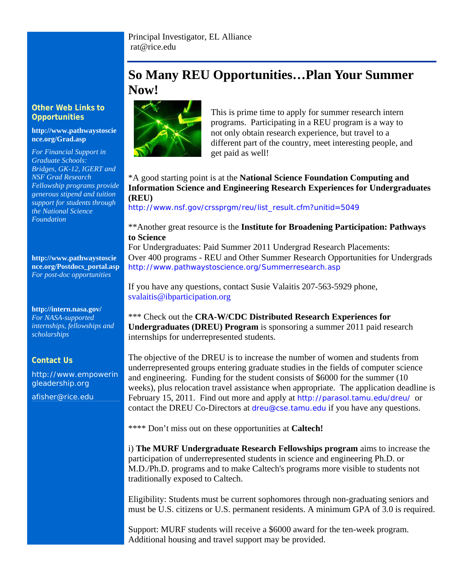# **So Many REU Opportunities…Plan Your Summer Now!**



**Opportunities COPPORTUNISED COPPORTUNITIES COPPORTUNITIES COPPORTUNITIES COPPORTUNITIES** programs. Participating in a REU program is a way to not only obtain research experience, but travel to a different part of the country, meet interesting people, and get paid as well!

### \*A good starting point is at the **National Science Foundation Computing and Information Science and Engineering Research Experiences for Undergraduates (REU)**

[http://www.nsf.gov/crssprgm/reu/list\\_result.cfm?unitid=5049](http://www.nsf.gov/crssprgm/reu/list_result.cfm?unitid=5049)

### \*\*Another great resource is the **Institute for Broadening Participation: Pathways to Science**

For Undergraduates: Paid Summer 2011 Undergrad Research Placements: Over 400 programs - REU and Other Summer Research Opportunities for Undergrads <http://www.pathwaystoscience.org/Summerresearch.asp>

If you have any questions, contact Susie Valaitis 207-563-5929 phone, [svalaitis@ibparticipation.org](mailto:svalaitis@ibparticipation.org)

\*\*\* Check out the **CRA-W/CDC Distributed Research Experiences for Undergraduates (DREU) Program** is sponsoring a summer 2011 paid research internships for underrepresented students.

The objective of the DREU is to increase the number of women and students from underrepresented groups entering graduate studies in the fields of computer science and engineering. Funding for the student consists of \$6000 for the summer (10 weeks), plus relocation travel assistance when appropriate. The application deadline is February 15, 2011. Find out more and apply at <http://parasol.tamu.edu/dreu/> or contact the DREU Co-Directors at dreu@cse.tamu.edu if you have any questions.

\*\*\*\* Don't miss out on these opportunities at **Caltech!** 

i) **The MURF Undergraduate Research Fellowships program** aims to increase the participation of underrepresented students in science and engineering Ph.D. or M.D./Ph.D. programs and to make Caltech's programs more visible to students not traditionally exposed to Caltech.

Eligibility: Students must be current sophomores through non-graduating seniors and must be U.S. citizens or U.S. permanent residents. A minimum GPA of 3.0 is required.

Support: MURF students will receive a \$6000 award for the ten-week program. Additional housing and travel support may be provided.

# **Other Web Links to**

### **[http://www.pathwaystoscie](http://www.pathwaystoscience.org/Grad.asp) [nce.org/Grad.asp](http://www.pathwaystoscience.org/Grad.asp)**

*For Financial Support in Graduate Schools: Bridges, GK-12, IGERT and NSF Grad Research Fellowship programs provide generous stipend and tuition support for students through the National Science Foundation* 

**[http://www.pathwaystoscie](http://www.pathwaystoscience.org/Postdocs_portal.asp) [nce.org/Postdocs\\_portal.asp](http://www.pathwaystoscience.org/Postdocs_portal.asp)** *For post-doc opportunities* 

**<http://intern.nasa.gov/>** *For NASA-supported internships, fellowships and scholarships*

## **Contact Us**

http://www.empowerin gleadership.org afisher@rice.edu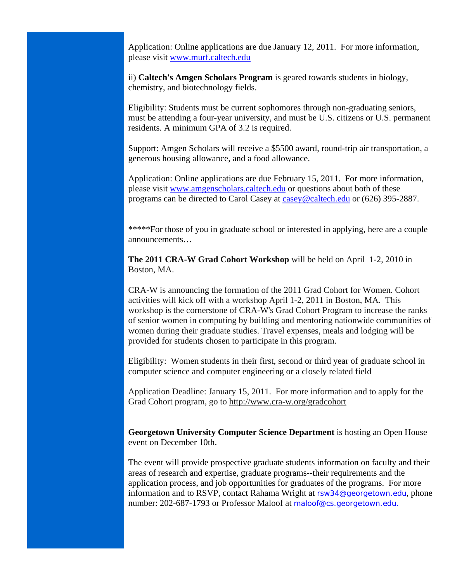Application: Online applications are due January 12, 2011. For more information, please visit [www.murf.caltech.edu](http://www.murf.caltech.edu/)

ii) **Caltech's Amgen Scholars Program** is geared towards students in biology, chemistry, and biotechnology fields.

Eligibility: Students must be current sophomores through non-graduating seniors, must be attending a four-year university, and must be U.S. citizens or U.S. permanent residents. A minimum GPA of 3.2 is required.

Support: Amgen Scholars will receive a \$5500 award, round-trip air transportation, a generous housing allowance, and a food allowance.

Application: Online applications are due February 15, 2011. For more information, please visit [www.amgenscholars.caltech.edu](http://www.amgenscholars.caltech.edu/) or questions about both of these programs can be directed to Carol Casey at [casey@caltech.edu](mailto:casey@caltech.edu) or (626) 395-2887.

\*\*\*\*\*For those of you in graduate school or interested in applying, here are a couple announcements…

**The 2011 CRA-W Grad Cohort Workshop** will be held on April 1-2, 2010 in Boston, MA.

CRA-W is announcing the formation of the 2011 Grad Cohort for Women. Cohort activities will kick off with a workshop April 1-2, 2011 in Boston, MA. This workshop is the cornerstone of CRA-W's Grad Cohort Program to increase the ranks of senior women in computing by building and mentoring nationwide communities of women during their graduate studies. Travel expenses, meals and lodging will be provided for students chosen to participate in this program.

Eligibility: Women students in their first, second or third year of graduate school in computer science and computer engineering or a closely related field

Application Deadline: January 15, 2011. For more information and to apply for the Grad Cohort program, go to <http://www.cra-w.org/gradcohort>

**Georgetown University Computer Science Department** is hosting an Open House event on December 10th.

The event will provide prospective graduate students information on faculty and their areas of research and expertise, graduate programs--their requirements and the application process, and job opportunities for graduates of the programs. For more information and to RSVP, contact Rahama Wright at [rsw34@georgetown.edu](mailto:rsw34@georgetown.edu), phone number: 202-687-1793 or Professor Maloof at [maloof@cs.georgetown.edu](mailto:maloof@cs.georgetown.edu).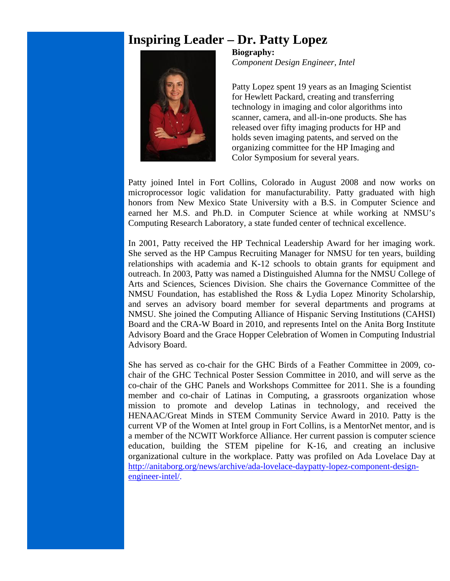## **Inspiring Leader – Dr. Patty Lopez**



**Biography:**  *Component Design Engineer, Intel*

Patty Lopez spent 19 years as an Imaging Scientist for Hewlett Packard, creating and transferring technology in imaging and color algorithms into scanner, camera, and all-in-one products. She has released over fifty imaging products for HP and holds seven imaging patents, and served on the organizing committee for the HP Imaging and Color Symposium for several years.

Patty joined Intel in Fort Collins, Colorado in August 2008 and now works on microprocessor logic validation for manufacturability. Patty graduated with high honors from New Mexico State University with a B.S. in Computer Science and earned her M.S. and Ph.D. in Computer Science at while working at NMSU's Computing Research Laboratory, a state funded center of technical excellence.

In 2001, Patty received the HP Technical Leadership Award for her imaging work. She served as the HP Campus Recruiting Manager for NMSU for ten years, building relationships with academia and K-12 schools to obtain grants for equipment and outreach. In 2003, Patty was named a Distinguished Alumna for the NMSU College of Arts and Sciences, Sciences Division. She chairs the Governance Committee of the NMSU Foundation, has established the Ross & Lydia Lopez Minority Scholarship, and serves an advisory board member for several departments and programs at NMSU. She joined the Computing Alliance of Hispanic Serving Institutions (CAHSI) Board and the CRA-W Board in 2010, and represents Intel on the Anita Borg Institute Advisory Board and the Grace Hopper Celebration of Women in Computing Industrial Advisory Board.

She has served as co-chair for the GHC Birds of a Feather Committee in 2009, cochair of the GHC Technical Poster Session Committee in 2010, and will serve as the co-chair of the GHC Panels and Workshops Committee for 2011. She is a founding member and co-chair of Latinas in Computing, a grassroots organization whose mission to promote and develop Latinas in technology, and received the HENAAC/Great Minds in STEM Community Service Award in 2010. Patty is the current VP of the Women at Intel group in Fort Collins, is a MentorNet mentor, and is a member of the NCWIT Workforce Alliance. Her current passion is computer science education, building the STEM pipeline for K-16, and creating an inclusive organizational culture in the workplace. Patty was profiled on Ada Lovelace Day at [http://anitaborg.org/news/archive/ada-lovelace-daypatty-lopez-component-design](http://anitaborg.org/news/archive/ada-lovelace-daypatty-lopez-component-design-engineer-intel/)[engineer-intel/.](http://anitaborg.org/news/archive/ada-lovelace-daypatty-lopez-component-design-engineer-intel/)